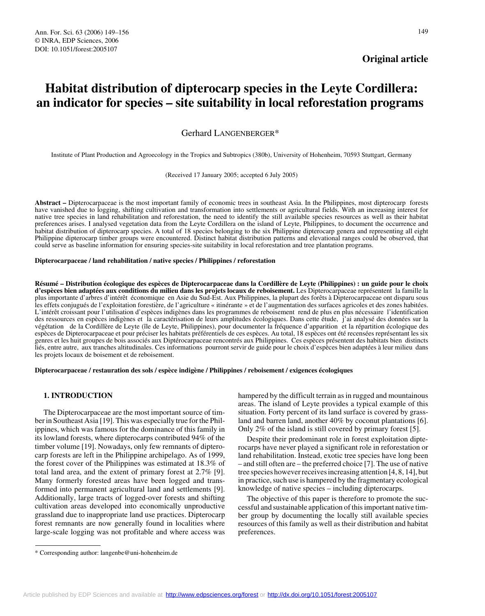# **Habitat distribution of dipterocarp species in the Leyte Cordillera: an indicator for species – site suitability in local reforestation programs**

# Gerhard LANGENBERGER\*

Institute of Plant Production and Agroecology in the Tropics and Subtropics (380b), University of Hohenheim, 70593 Stuttgart, Germany

(Received 17 January 2005; accepted 6 July 2005)

**Abstract –** Dipterocarpaceae is the most important family of economic trees in southeast Asia. In the Philippines, most dipterocarp forests have vanished due to logging, shifting cultivation and transformation into settlements or agricultural fields. With an increasing interest for native tree species in land rehabilitation and reforestation, the need to identify the still available species resources as well as their habitat preferences arises. I analysed vegetation data from the Leyte Cordillera on the island of Leyte, Philippines, to document the occurrence and habitat distribution of dipterocarp species. A total of 18 species belonging to the six Philippine dipterocarp genera and representing all eight Philippine dipterocarp timber groups were encountered. Distinct habitat distribution patterns and elevational ranges could be observed, that could serve as baseline information for ensuring species-site suitability in local reforestation and tree plantation programs.

#### **Dipterocarpaceae / land rehabilitation / native species / Philippines / reforestation**

**Résumé – Distribution écologique des espèces de Dipterocarpaceae dans la Cordillère de Leyte (Philippines) : un guide pour le choix d'espèces bien adaptées aux conditions du milieu dans les projets locaux de reboisement.** Les Dipterocarpaceae représentent la famille la plus importante d'arbres d'intérêt économique en Asie du Sud-Est. Aux Philippines, la plupart des forêts à Dipterocarpaceae ont disparu sous les effets conjugués de l'exploitation forestière, de l'agriculture « itinérante » et de l'augmentation des surfaces agricoles et des zones habitées. L'intérêt croissant pour l'utilisation d'espèces indigènes dans les programmes de reboisement rend de plus en plus nécessaire l'identification des ressources en espèces indigènes et la caractérisation de leurs amplitudes écologiques. Dans cette étude, j'ai analysé des données sur la végétation de la Cordillère de Leyte (île de Leyte, Philippines), pour documenter la fréquence d'apparition et la répartition écologique des espèces de Dipterocarpaceae et pour préciser les habitats préférentiels de ces espèces. Au total, 18 espèces ont été recensées représentant les six genres et les huit groupes de bois associés aux Diptérocarpaceae rencontrés aux Philippines. Ces espèces présentent des habitats bien distincts liés, entre autre, aux tranches altitudinales. Ces informations pourront servir de guide pour le choix d'espèces bien adaptées à leur milieu dans les projets locaux de boisement et de reboisement.

**Dipterocarpaceae / restauration des sols / espèce indigène / Philippines / reboisement / exigences écologiques**

### **1. INTRODUCTION**

The Dipterocarpaceae are the most important source of timber in Southeast Asia [19]. This was especially true for the Philippines, which was famous for the dominance of this family in its lowland forests, where dipterocarps contributed 94% of the timber volume [19]. Nowadays, only few remnants of dipterocarp forests are left in the Philippine archipelago. As of 1999, the forest cover of the Philippines was estimated at 18.3% of total land area, and the extent of primary forest at 2.7% [9]. Many formerly forested areas have been logged and transformed into permanent agricultural land and settlements [9]. Additionally, large tracts of logged-over forests and shifting cultivation areas developed into economically unproductive grassland due to inappropriate land use practices. Dipterocarp forest remnants are now generally found in localities where large-scale logging was not profitable and where access was hampered by the difficult terrain as in rugged and mountainous areas. The island of Leyte provides a typical example of this situation. Forty percent of its land surface is covered by grassland and barren land, another 40% by coconut plantations [6]. Only 2% of the island is still covered by primary forest [5].

Despite their predominant role in forest exploitation dipterocarps have never played a significant role in reforestation or land rehabilitation. Instead, exotic tree species have long been – and still often are – the preferred choice [7]. The use of native tree species however receives increasing attention [4, 8, 14], but in practice, such use is hampered by the fragmentary ecological knowledge of native species – including dipterocarps.

The objective of this paper is therefore to promote the successful and sustainable application of this important native timber group by documenting the locally still available species resources of this family as well as their distribution and habitat preferences.

<sup>\*</sup> Corresponding author: langenbe@uni-hohenheim.de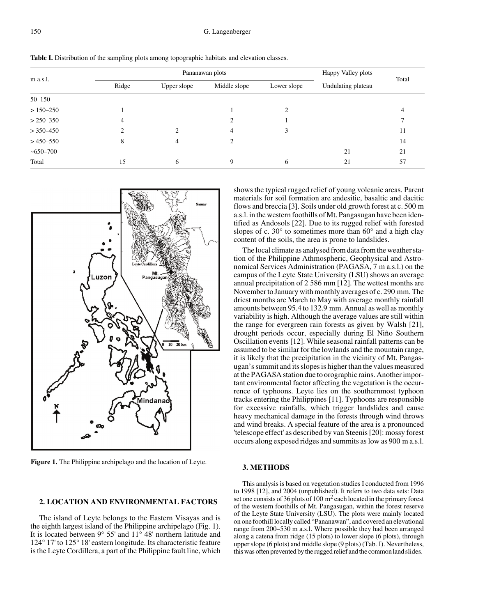| m a.s.l.      |       | Pananawan plots | Happy Valley plots |             |                    |       |
|---------------|-------|-----------------|--------------------|-------------|--------------------|-------|
|               | Ridge | Upper slope     | Middle slope       | Lower slope | Undulating plateau | Total |
| $50 - 150$    |       |                 |                    | -           |                    |       |
| $>150-250$    |       |                 |                    | 2           |                    | 4     |
| $> 250 - 350$ | 4     |                 |                    |             |                    |       |
| $> 350 - 450$ |       |                 | 4                  | 3           |                    | 11    |
| $>450 - 550$  | 8     | 4               |                    |             |                    | 14    |
| $~100-700$    |       |                 |                    |             | 21                 | 21    |
| Total         | 15    | 6               | 9                  | 6           | 21                 | 57    |

**Table I.** Distribution of the sampling plots among topographic habitats and elevation classes.



**Figure 1.** The Philippine archipelago and the location of Leyte.

## **2. LOCATION AND ENVIRONMENTAL FACTORS**

The island of Leyte belongs to the Eastern Visayas and is the eighth largest island of the Philippine archipelago (Fig. 1). It is located between 9° 55' and 11° 48' northern latitude and 124° 17' to 125° 18' eastern longitude. Its characteristic feature is the Leyte Cordillera, a part of the Philippine fault line, which shows the typical rugged relief of young volcanic areas. Parent materials for soil formation are andesitic, basaltic and dacitic flows and breccia [3]. Soils under old growth forest at c. 500 m a.s.l. in the western foothills of Mt. Pangasugan have been identified as Andosols [22]. Due to its rugged relief with forested slopes of c.  $30^{\circ}$  to sometimes more than  $60^{\circ}$  and a high clay content of the soils, the area is prone to landslides.

The local climate as analysed from data from the weather station of the Philippine Athmospheric, Geophysical and Astronomical Services Administration (PAGASA, 7 m a.s.l.) on the campus of the Leyte State University (LSU) shows an average annual precipitation of 2 586 mm [12]. The wettest months are November to January with monthly averages of c. 290 mm. The driest months are March to May with average monthly rainfall amounts between 95.4 to 132.9 mm. Annual as well as monthly variability is high. Although the average values are still within the range for evergreen rain forests as given by Walsh [21], drought periods occur, especially during El Niño Southern Oscillation events [12]. While seasonal rainfall patterns can be assumed to be similar for the lowlands and the mountain range, it is likely that the precipitation in the vicinity of Mt. Pangasugan's summit and its slopes is higher than the values measured at the PAGASA station due to orographic rains. Another important environmental factor affecting the vegetation is the occurrence of typhoons. Leyte lies on the southernmost typhoon tracks entering the Philippines [11]. Typhoons are responsible for excessive rainfalls, which trigger landslides and cause heavy mechanical damage in the forests through wind throws and wind breaks. A special feature of the area is a pronounced 'telescope effect' as described by van Steenis [20]: mossy forest occurs along exposed ridges and summits as low as 900 m a.s.l.

#### **3. METHODS**

This analysis is based on vegetation studies I conducted from 1996 to 1998 [12], and 2004 (unpublished). It refers to two data sets: Data set one consists of 36 plots of 100  $m<sup>2</sup>$  each located in the primary forest of the western foothills of Mt. Pangasugan, within the forest reserve of the Leyte State University (LSU). The plots were mainly located on one foothill locally called "Pananawan", and covered an elevational range from 200–530 m a.s.l. Where possible they had been arranged along a catena from ridge (15 plots) to lower slope (6 plots), through upper slope (6 plots) and middle slope (9 plots) (Tab. I). Nevertheless, this was often prevented by the rugged relief and the common land slides.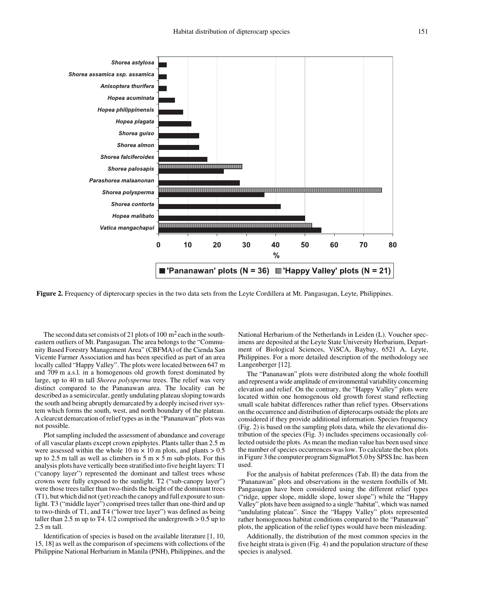

**Figure 2.** Frequency of dipterocarp species in the two data sets from the Leyte Cordillera at Mt. Pangasugan, Leyte, Philippines.

The second data set consists of 21 plots of 100  $m<sup>2</sup>$  each in the southeastern outliers of Mt. Pangasugan. The area belongs to the "Community Based Forestry Management Area" (CBFMA) of the Cienda San Vicente Farmer Association and has been specified as part of an area locally called "Happy Valley". The plots were located between 647 m and 709 m a.s.l. in a homogenous old growth forest dominated by large, up to 40 m tall *Shorea polysperma* trees. The relief was very distinct compared to the Pananawan area. The locality can be described as a semicircular, gently undulating plateau sloping towards the south and being abruptly demarcated by a deeply incised river system which forms the south, west, and north boundary of the plateau. A clearcut demarcation of relief types as in the "Pananawan" plots was not possible.

Plot sampling included the assessment of abundance and coverage of all vascular plants except crown epiphytes. Plants taller than 2.5 m were assessed within the whole 10 m  $\times$  10 m plots, and plants  $> 0.5$ up to 2.5 m tall as well as climbers in 5 m  $\times$  5 m sub-plots. For this analysis plots have vertically been stratified into five height layers: T1 ("canopy layer") represented the dominant and tallest trees whose crowns were fully exposed to the sunlight. T2 ("sub-canopy layer") were those trees taller than two-thirds the height of the dominant trees (T1), but which did not (yet) reach the canopy and full exposure to sunlight. T3 ("middle layer") comprised trees taller than one-third and up to two-thirds of T1, and T4 ("lower tree layer") was defined as being taller than 2.5 m up to T4. U2 comprised the undergrowth  $> 0.5$  up to 2.5 m tall.

Identification of species is based on the available literature [1, 10, 15, 18] as well as the comparison of specimens with collections of the Philippine National Herbarium in Manila (PNH), Philippines, and the National Herbarium of the Netherlands in Leiden (L). Voucher specimens are deposited at the Leyte State University Herbarium, Department of Biological Sciences, ViSCA, Baybay, 6521 A, Leyte, Philippines. For a more detailed description of the methodology see Langenberger [12].

The "Pananawan" plots were distributed along the whole foothill and represent a wide amplitude of environmental variability concerning elevation and relief. On the contrary, the "Happy Valley" plots were located within one homogenous old growth forest stand reflecting small scale habitat differences rather than relief types. Observations on the occurrence and distribution of dipterocarps outside the plots are considered if they provide additional information. Species frequency (Fig. 2) is based on the sampling plots data, while the elevational distribution of the species (Fig. 3) includes specimens occasionally collected outside the plots. As mean the median value has been used since the number of species occurrences was low. To calculate the box plots in Figure 3 the computer program SigmaPlot 5.0 by SPSS Inc. has been used.

For the analysis of habitat preferences (Tab. II) the data from the "Pananawan" plots and observations in the western foothills of Mt. Pangasugan have been considered using the different relief types ("ridge, upper slope, middle slope, lower slope") while the "Happy Valley" plots have been assigned to a single "habitat", which was named "undulating plateau". Since the "Happy Valley" plots represented rather homogenous habitat conditions compared to the "Pananawan" plots, the application of the relief types would have been misleading.

Additionally, the distribution of the most common species in the five height strata is given (Fig. 4) and the population structure of these species is analysed.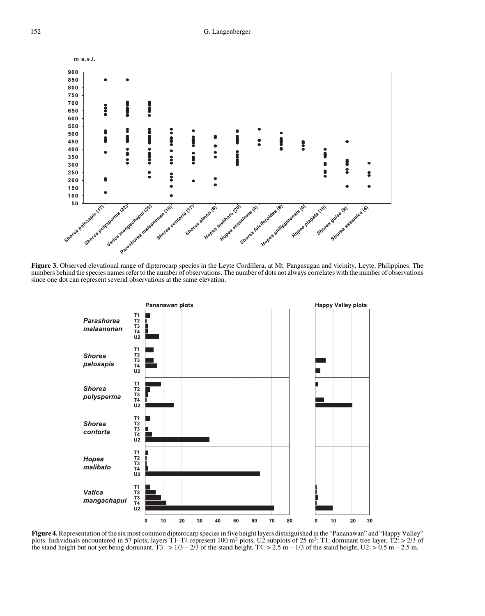

**Figure 3.** Observed elevational range of dipterocarp species in the Leyte Cordillera, at Mt. Pangasugan and vicinity, Leyte, Philippines. The numbers behind the species names refer to the number of observations. The number of dots not always correlates with the number of observations since one dot can represent several observations at the same elevation.



**Figure 4.** Representation of the six most common dipterocarp species in five height layers distinguished in the "Pananawan" and "Happy Valley" plots. Individuals encountered in 57 plots; layers T1–T4 represent 100 m<sup>2</sup> p the stand height but not yet being dominant, T3:  $> 1/3 - 2/3$  of the stand height, T4:  $> 2.5$  m  $- 1/3$  of the stand height, U2:  $> 0.5$  m  $- 2.5$  m.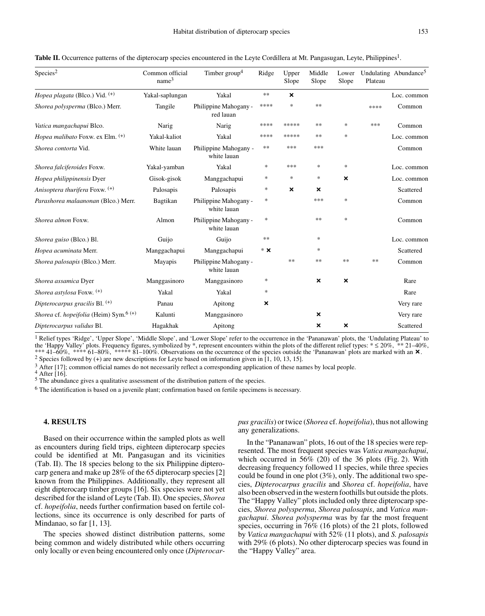| Species <sup>2</sup>                               | Common official<br>name <sup>3</sup> | Timber $group4$                      | Ridge        | Upper<br>Slope            | Middle<br>Slope           | Lower<br>Slope            | Plateau | Undulating Abundance <sup>5</sup> |
|----------------------------------------------------|--------------------------------------|--------------------------------------|--------------|---------------------------|---------------------------|---------------------------|---------|-----------------------------------|
| Hopea plagata (Blco.) Vid. <sup>(+)</sup>          | Yakal-saplungan                      | Yakal                                | $**$         | $\boldsymbol{\mathsf{x}}$ |                           |                           |         | Loc. common                       |
| Shorea polysperma (Blco.) Merr.                    | Tangile                              | Philippine Mahogany -<br>red lauan   | ****         | *                         | $**$                      |                           | ****    | Common                            |
| Vatica mangachapui Blco.                           | Narig                                | Narig                                | ****         | *****                     | $**$                      | $\ast$                    | ***     | Common                            |
| <i>Hopea malibato</i> Foxw. ex Elm. <sup>(+)</sup> | Yakal-kaliot                         | Yakal                                | ****         | *****                     | **                        | *                         |         | Loc. common                       |
| Shorea contorta Vid.                               | White lauan                          | Philippine Mahogany -<br>white lauan | $**$         | ***                       | ***                       |                           |         | Common                            |
| Shorea falciferoides Foxw.                         | Yakal-yamban                         | Yakal                                | $\ast$       | ***                       | $\ast$                    | $\ast$                    |         | Loc. common                       |
| Hopea philippinensis Dyer                          | Gisok-gisok                          | Manggachapui                         | *            | ∗                         | $\ast$                    | $\boldsymbol{\mathsf{x}}$ |         | Loc. common                       |
| Anisoptera thurifera Foxw. (+)                     | Palosapis                            | Palosapis                            | *            | $\boldsymbol{\mathsf{x}}$ | $\boldsymbol{\mathsf{x}}$ |                           |         | Scattered                         |
| Parashorea malaanonan (Blco.) Merr.                | Bagtikan                             | Philippine Mahogany -<br>white lauan | *            |                           | ***                       | *                         |         | Common                            |
| Shorea almon Foxw.                                 | Almon                                | Philippine Mahogany -<br>white lauan | ∗            |                           | $**$                      | $\ast$                    |         | Common                            |
| Shorea guiso (Blco.) Bl.                           | Guijo                                | Guijo                                | $**$         |                           | *                         |                           |         | Loc. common                       |
| Hopea acuminata Merr.                              | Manggachapui                         | Manggachapui                         | $*$ $\times$ |                           | $\ast$                    |                           |         | Scattered                         |
| Shorea palosapis (Blco.) Merr.                     | Mayapis                              | Philippine Mahogany -<br>white lauan |              | **                        | **                        | **                        | **      | Common                            |
| Shorea assamica Dyer                               | Manggasinoro                         | Manggasinoro                         | ∗            |                           | $\boldsymbol{\mathsf{x}}$ | $\boldsymbol{\mathsf{x}}$ |         | Rare                              |
| Shorea astylosa Foxw. (+)                          | Yakal                                | Yakal                                | *            |                           |                           |                           |         | Rare                              |
| Dipterocarpus gracilis Bl. $(+)$                   | Panau                                | Apitong                              | ×            |                           |                           |                           |         | Very rare                         |
| Shorea cf. hopeifolia (Heim) Sym. <sup>6 (+)</sup> | Kalunti                              | Manggasinoro                         |              |                           | $\boldsymbol{\mathsf{x}}$ |                           |         | Very rare                         |
| Dipterocarpus validus Bl.                          | Hagakhak                             | Apitong                              |              |                           | ×                         | ×                         |         | Scattered                         |

**Table II.** Occurrence patterns of the dipterocarp species encountered in the Leyte Cordillera at Mt. Pangasugan, Leyte, Philippines<sup>1</sup>.

<sup>1</sup> Relief types 'Ridge', 'Upper Slope', 'Middle Slope', and 'Lower Slope' refer to the occurrence in the 'Pananawan' plots, the 'Undulating Plateau' to the 'Happy Valley' plots. Frequency figures, symbolized by \*, represent encounters within the plots of the different relief types:  $* \le 20\%$ ,  $** 21-40\%$ , \*\*\* 41–60%, \*\*\*\* 61–80%, \*\*\*\*\* 81–100%. Observations on the occurrence of the species outside the 'Pananawan' plots are marked with an  $\star$ .<br><sup>2</sup> Species followed by (+) are new descriptions for Leyte based on information

3 After [17]; common official names do not necessarily reflect a corresponding application of these names by local people. 4 After [16].

<sup>5</sup> The abundance gives a qualitative assessment of the distribution pattern of the species.

6 The identification is based on a juvenile plant; confirmation based on fertile specimens is necessary.

# **4. RESULTS**

Based on their occurrence within the sampled plots as well as encounters during field trips, eighteen dipterocarp species could be identified at Mt. Pangasugan and its vicinities (Tab. II). The 18 species belong to the six Philippine dipterocarp genera and make up 28% of the 65 dipterocarp species [2] known from the Philippines. Additionally, they represent all eight dipterocarp timber groups [16]. Six species were not yet described for the island of Leyte (Tab. II). One species, *Shorea* cf. *hopeifolia*, needs further confirmation based on fertile collections, since its occurrence is only described for parts of Mindanao, so far [1, 13].

The species showed distinct distribution patterns, some being common and widely distributed while others occurring only locally or even being encountered only once (*Dipterocar-* *pus gracilis*) or twice (*Shorea* cf. *hopeifolia*), thus not allowing any generalizations.

In the "Pananawan" plots, 16 out of the 18 species were represented. The most frequent species was *Vatica mangachapui*, which occurred in 56% (20) of the 36 plots (Fig. 2). With decreasing frequency followed 11 species, while three species could be found in one plot (3%), only. The additional two species, *Dipterocarpus gracilis* and *Shorea* cf. *hopeifolia*, have also been observed in the western foothills but outside the plots. The "Happy Valley" plots included only three dipterocarp species, *Shorea polysperma*, *Shorea palosapis*, and *Vatica mangachapui*. *Shorea polysperma* was by far the most frequent species, occurring in 76% (16 plots) of the 21 plots, followed by *Vatica mangachapui* with 52% (11 plots), and *S. palosapis* with 29% (6 plots). No other dipterocarp species was found in the "Happy Valley" area.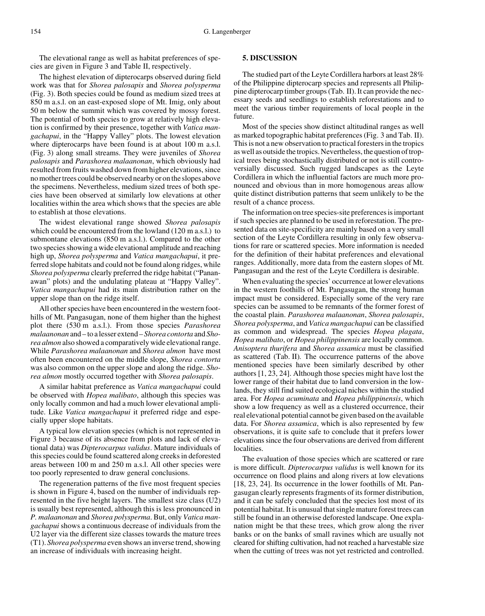The elevational range as well as habitat preferences of species are given in Figure 3 and Table II, respectively.

The highest elevation of dipterocarps observed during field work was that for *Shorea palosapis* and *Shorea polysperma* (Fig. 3). Both species could be found as medium sized trees at 850 m a.s.l. on an east-exposed slope of Mt. Imig, only about 50 m below the summit which was covered by mossy forest. The potential of both species to grow at relatively high elevation is confirmed by their presence, together with *Vatica mangachapui*, in the "Happy Valley" plots. The lowest elevation where dipterocarps have been found is at about 100 m a.s.l. (Fig. 3) along small streams. They were juveniles of *Shorea palosapis* and *Parashorea malaanonan*, which obviously had resulted from fruits washed down from higher elevations, since no mother trees could be observed nearby or on the slopes above the specimens. Nevertheless, medium sized trees of both species have been observed at similarly low elevations at other localities within the area which shows that the species are able to establish at those elevations.

The widest elevational range showed *Shorea palosapis* which could be encountered from the lowland (120 m a.s.l.) to submontane elevations (850 m a.s.l.). Compared to the other two species showing a wide elevational amplitude and reaching high up, *Shorea polysperma* and *Vatica mangachapui*, it preferred slope habitats and could not be found along ridges, while *Shorea polysperma* clearly preferred the ridge habitat ("Pananawan" plots) and the undulating plateau at "Happy Valley". *Vatica mangachapui* had its main distribution rather on the upper slope than on the ridge itself.

All other species have been encountered in the western foothills of Mt. Pangasugan, none of them higher than the highest plot there (530 m a.s.l.). From those species *Parashorea malaanonan* and – to a lesser extend – *Shorea contorta* and *Shorea almon* also showed a comparatively wide elevational range. While *Parashorea malaanonan* and *Shorea almon* have most often been encountered on the middle slope, *Shorea contorta* was also common on the upper slope and along the ridge. *Shorea almon* mostly occurred together with *Shorea palosapis*.

A similar habitat preference as *Vatica mangachapui* could be observed with *Hopea malibato*, although this species was only locally common and had a much lower elevational amplitude. Like *Vatica mangachapui* it preferred ridge and especially upper slope habitats.

A typical low elevation species (which is not represented in Figure 3 because of its absence from plots and lack of elevational data) was *Dipterocarpus validus*. Mature individuals of this species could be found scattered along creeks in deforested areas between 100 m and 250 m a.s.l. All other species were too poorly represented to draw general conclusions.

The regeneration patterns of the five most frequent species is shown in Figure 4, based on the number of individuals represented in the five height layers. The smallest size class (U2) is usually best represented, although this is less pronounced in *P. malaanonan* and *Shorea polysperma*. But, only *Vatica mangachapui* shows a continuous decrease of individuals from the U2 layer via the different size classes towards the mature trees (T1). *Shorea polysperma* even shows an inverse trend, showing an increase of individuals with increasing height.

#### **5. DISCUSSION**

The studied part of the Leyte Cordillera harbors at least 28% of the Philippine dipterocarp species and represents all Philippine dipterocarp timber groups (Tab. II). It can provide the necessary seeds and seedlings to establish reforestations and to meet the various timber requirements of local people in the future.

Most of the species show distinct altitudinal ranges as well as marked topographic habitat preferences (Fig. 3 and Tab. II). This is not a new observation to practical foresters in the tropics as well as outside the tropics. Nevertheless, the question of tropical trees being stochastically distributed or not is still controversially discussed. Such rugged landscapes as the Leyte Cordillera in which the influential factors are much more pronounced and obvious than in more homogenous areas allow quite distinct distribution patterns that seem unlikely to be the result of a chance process.

The information on tree species-site preferences is important if such species are planned to be used in reforestation. The presented data on site-specificity are mainly based on a very small section of the Leyte Cordillera resulting in only few observations for rare or scattered species. More information is needed for the definition of their habitat preferences and elevational ranges. Additionally, more data from the eastern slopes of Mt. Pangasugan and the rest of the Leyte Cordillera is desirable.

When evaluating the species' occurrence at lower elevations in the western foothills of Mt. Pangasugan, the strong human impact must be considered. Especially some of the very rare species can be assumed to be remnants of the former forest of the coastal plain. *Parashorea malaanonan*, *Shorea palosapis*, *Shorea polysperma*, and *Vatica mangachapui* can be classified as common and widespread. The species *Hopea plagata*, *Hopea malibato*, or *Hopea philippinensis* are locally common. *Anisoptera thurifera* and *Shorea assamica* must be classified as scattered (Tab. II)*.* The occurrence patterns of the above mentioned species have been similarly described by other authors [1, 23, 24]. Although those species might have lost the lower range of their habitat due to land conversion in the lowlands, they still find suited ecological niches within the studied area. For *Hopea acuminata* and *Hopea philippinensis*, which show a low frequency as well as a clustered occurrence, their real elevational potential cannot be given based on the available data. For *Shorea assamica*, which is also represented by few observations, it is quite safe to conclude that it prefers lower elevations since the four observations are derived from different localities.

The evaluation of those species which are scattered or rare is more difficult. *Dipterocarpus validus* is well known for its occurrence on flood plains and along rivers at low elevations [18, 23, 24]. Its occurrence in the lower foothills of Mt. Pangasugan clearly represents fragments of its former distribution, and it can be safely concluded that the species lost most of its potential habitat. It is unusual that single mature forest trees can still be found in an otherwise deforested landscape. One explanation might be that these trees, which grow along the river banks or on the banks of small ravines which are usually not cleared for shifting cultivation, had not reached a harvestable size when the cutting of trees was not yet restricted and controlled.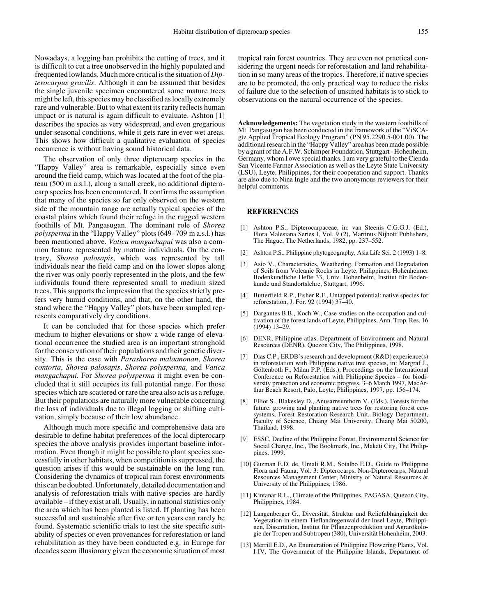Nowadays, a logging ban prohibits the cutting of trees, and it is difficult to cut a tree unobserved in the highly populated and frequented lowlands. Much more critical is the situation of *Dipterocarpus gracilis*. Although it can be assumed that besides the single juvenile specimen encountered some mature trees might be left, this species may be classified as locally extremely rare and vulnerable. But to what extent its rarity reflects human impact or is natural is again difficult to evaluate. Ashton [1] describes the species as very widespread, and even gregarious under seasonal conditions, while it gets rare in ever wet areas. This shows how difficult a qualitative evaluation of species occurrence is without having sound historical data.

The observation of only three dipterocarp species in the "Happy Valley" area is remarkable, especially since even around the field camp, which was located at the foot of the plateau (500 m a.s.l.), along a small creek, no additional dipterocarp species has been encountered. It confirms the assumption that many of the species so far only observed on the western side of the mountain range are actually typical species of the coastal plains which found their refuge in the rugged western foothills of Mt. Pangasugan. The dominant role of *Shorea polysperma* in the "Happy Valley" plots (649–709 m a.s.l.) has been mentioned above. *Vatica mangachapui* was also a common feature represented by mature individuals. On the contrary, *Shorea palosapis*, which was represented by tall individuals near the field camp and on the lower slopes along the river was only poorly represented in the plots, and the few individuals found there represented small to medium sized trees. This supports the impression that the species strictly prefers very humid conditions, and that, on the other hand, the stand where the "Happy Valley" plots have been sampled represents comparatively dry conditions.

It can be concluded that for those species which prefer medium to higher elevations or show a wide range of elevational occurrence the studied area is an important stronghold for the conservation of their populations and their genetic diversity. This is the case with *Parashorea malaanonan*, *Shorea contorta*, *Shorea palosapis*, *Shorea polysperma*, and *Vatica mangachapui*. For *Shorea polysperma* it might even be concluded that it still occupies its full potential range. For those species which are scattered or rare the area also acts as a refuge. But their populations are naturally more vulnerable concerning the loss of individuals due to illegal logging or shifting cultivation, simply because of their low abundance.

Although much more specific and comprehensive data are desirable to define habitat preferences of the local dipterocarp species the above analysis provides important baseline information. Even though it might be possible to plant species successfully in other habitats, when competition is suppressed, the question arises if this would be sustainable on the long run. Considering the dynamics of tropical rain forest environments this can be doubted. Unfortunately, detailed documentation and analysis of reforestation trials with native species are hardly available – if they exist at all. Usually, in national statistics only the area which has been planted is listed. If planting has been successful and sustainable after five or ten years can rarely be found. Systematic scientific trials to test the site specific suitability of species or even provenances for reforestation or land rehabilitation as they have been conducted e.g. in Europe for decades seem illusionary given the economic situation of most

tropical rain forest countries. They are even not practical considering the urgent needs for reforestation and land rehabilitation in so many areas of the tropics. Therefore, if native species are to be promoted, the only practical way to reduce the risks of failure due to the selection of unsuited habitats is to stick to observations on the natural occurrence of the species.

**Acknowledgements:** The vegetation study in the western foothills of Mt. Pangasugan has been conducted in the framework of the "ViSCAgtz Applied Tropical Ecology Program" (PN 95.2290.5-001.00). The additional research in the "Happy Valley" area has been made possible by a grant of the A.F.W. Schimper Foundation, Stuttgart - Hohenheim, Germany, whom I owe special thanks. I am very grateful to the Cienda San Vicente Farmer Association as well as the Leyte State University (LSU), Leyte, Philippines, for their cooperation and support. Thanks are also due to Nina Ingle and the two anonymous reviewers for their helpful comments.

### **REFERENCES**

- [1] Ashton P.S., Dipterocarpaceae, in: van Steenis C.G.G.J. (Ed.), Flora Malesiana Series I, Vol. 9 (2), Martinus Nijhoff Publishers, The Hague, The Netherlands, 1982, pp. 237–552.
- [2] Ashton P.S., Philippine phytogeography, Asia Life Sci. 2 (1993) 1–8.
- Asio V., Characteristics, Weathering, Formation and Degradation of Soils from Volcanic Rocks in Leyte, Philippines, Hohenheimer Bodenkundliche Hefte 33, Univ. Hohenheim, Institut für Bodenkunde und Standortslehre, Stuttgart, 1996.
- [4] Butterfield R.P., Fisher R.F., Untapped potential: native species for reforestation, J. For. 92 (1994) 37–40.
- [5] Dargantes B.B., Koch W., Case studies on the occupation and cultivation of the forest lands of Leyte, Philippines, Ann. Trop. Res. 16 (1994) 13–29.
- [6] DENR, Philippine atlas, Department of Environment and Natural Resources (DENR), Quezon City, The Philippines, 1998.
- Dias C.P., ERDB's research and development (R&D) experience(s) in reforestation with Philippine native tree species, in: Margraf J., Göltenboth F., Milan P.P. (Eds.), Proceedings on the International Conference on Reforestation with Philippine Species – for biodiversity protection and economic progress, 3–6 March 1997, MacArthur Beach Resort, Palo, Leyte, Philippines, 1997, pp. 156–174.
- [8] Elliot S., Blakesley D., Anusarnsunthorn V. (Eds.), Forests for the future: growing and planting native trees for restoring forest ecosystems, Forest Restoration Research Unit, Biology Department, Faculty of Science, Chiang Mai University, Chiang Mai 50200, Thailand, 1998.
- ESSC, Decline of the Philippine Forest, Environmental Science for Social Change, Inc., The Bookmark, Inc., Makati City, The Philippines, 1999.
- [10] Guzman E.D. de, Umali R.M., Sotalbo E.D., Guide to Philippine Flora and Fauna, Vol. 3: Dipterocarps, Non-Dipterocarps, Natural Resources Management Center, Ministry of Natural Resources & University of the Philippines, 1986.
- [11] Kintanar R.L., Climate of the Philippines, PAGASA, Quezon City, Philippines, 1984.
- [12] Langenberger G., Diversität, Struktur und Reliefabhängigkeit der Vegetation in einem Tieflandregenwald der Insel Leyte, Philippinen, Dissertation, Institut für Pflanzenproduktion und Agrarökologie der Tropen und Subtropen (380), Universität Hohenheim, 2003.
- [13] Merrill E.D., An Enumeration of Philippine Flowering Plants, Vol. I-IV, The Government of the Philippine Islands, Department of